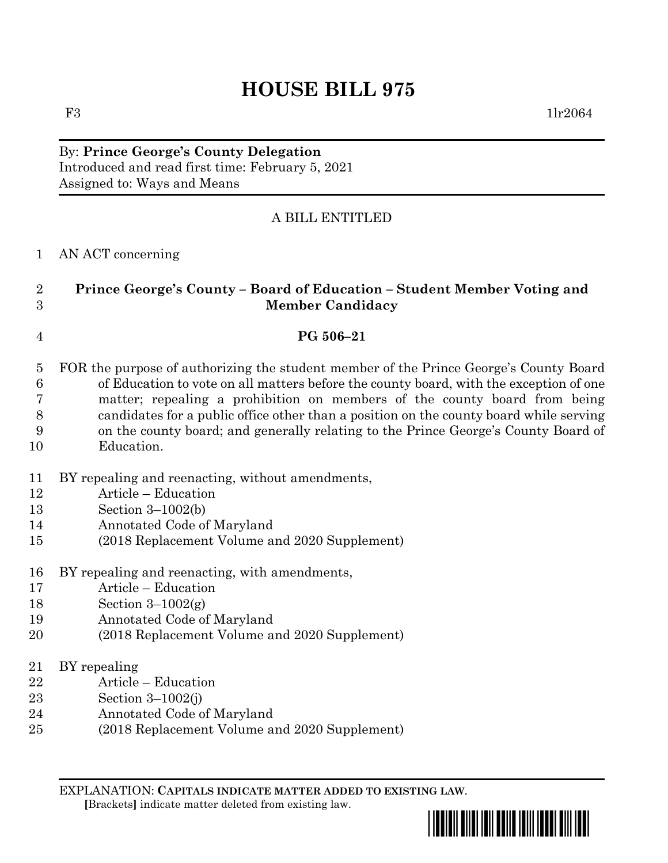## **HOUSE BILL 975**

F3 1lr2064

By: **Prince George's County Delegation** Introduced and read first time: February 5, 2021 Assigned to: Ways and Means

## A BILL ENTITLED

| AN ACT concerning |
|-------------------|
|                   |

| Prince George's County – Board of Education – Student Member Voting and |
|-------------------------------------------------------------------------|
| <b>Member Candidacy</b>                                                 |

## **PG 506–21**

- FOR the purpose of authorizing the student member of the Prince George's County Board of Education to vote on all matters before the county board, with the exception of one matter; repealing a prohibition on members of the county board from being candidates for a public office other than a position on the county board while serving on the county board; and generally relating to the Prince George's County Board of
- Education.
- BY repealing and reenacting, without amendments,
- Article Education
- Section 3–1002(b)
- Annotated Code of Maryland
- (2018 Replacement Volume and 2020 Supplement)
- BY repealing and reenacting, with amendments,
- Article Education
- 18 Section  $3-1002(g)$
- Annotated Code of Maryland
- (2018 Replacement Volume and 2020 Supplement)
- BY repealing
- Article Education
- Section 3–1002(j)
- Annotated Code of Maryland
- (2018 Replacement Volume and 2020 Supplement)

EXPLANATION: **CAPITALS INDICATE MATTER ADDED TO EXISTING LAW**.  **[**Brackets**]** indicate matter deleted from existing law.

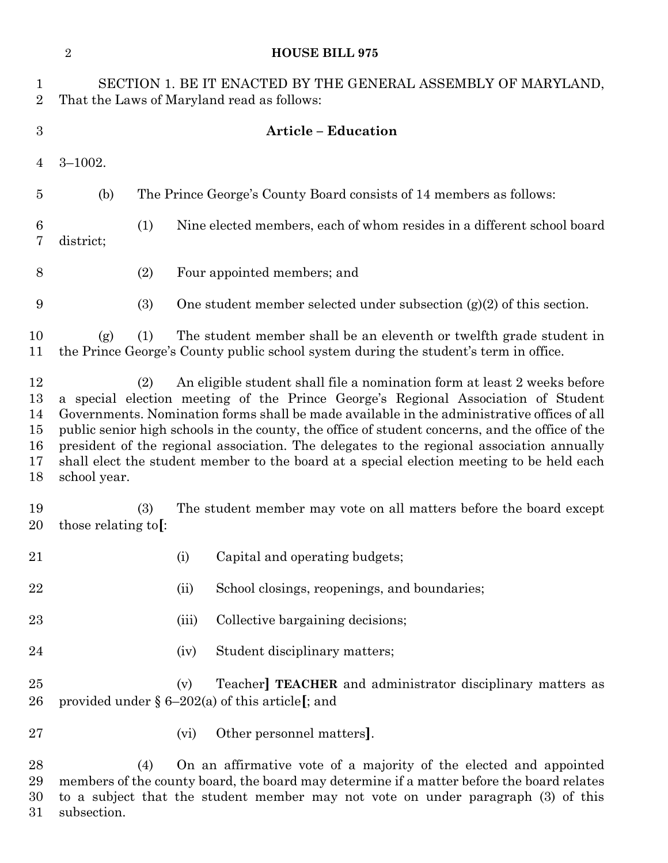|                                        | $\sqrt{2}$<br><b>HOUSE BILL 975</b>                                                                                                                                                                                                                                                                                                                                                                                                                                                                                                                                             |     |                                                                        |                                                                                                                                                             |  |  |
|----------------------------------------|---------------------------------------------------------------------------------------------------------------------------------------------------------------------------------------------------------------------------------------------------------------------------------------------------------------------------------------------------------------------------------------------------------------------------------------------------------------------------------------------------------------------------------------------------------------------------------|-----|------------------------------------------------------------------------|-------------------------------------------------------------------------------------------------------------------------------------------------------------|--|--|
| $\mathbf{1}$<br>$\overline{2}$         | SECTION 1. BE IT ENACTED BY THE GENERAL ASSEMBLY OF MARYLAND,<br>That the Laws of Maryland read as follows:                                                                                                                                                                                                                                                                                                                                                                                                                                                                     |     |                                                                        |                                                                                                                                                             |  |  |
| $\boldsymbol{3}$                       | <b>Article - Education</b>                                                                                                                                                                                                                                                                                                                                                                                                                                                                                                                                                      |     |                                                                        |                                                                                                                                                             |  |  |
| $\overline{4}$                         | $3 - 1002.$                                                                                                                                                                                                                                                                                                                                                                                                                                                                                                                                                                     |     |                                                                        |                                                                                                                                                             |  |  |
| $\overline{5}$                         | (b)                                                                                                                                                                                                                                                                                                                                                                                                                                                                                                                                                                             |     |                                                                        | The Prince George's County Board consists of 14 members as follows:                                                                                         |  |  |
| 6<br>$\overline{7}$                    | district;                                                                                                                                                                                                                                                                                                                                                                                                                                                                                                                                                                       | (1) | Nine elected members, each of whom resides in a different school board |                                                                                                                                                             |  |  |
| 8                                      |                                                                                                                                                                                                                                                                                                                                                                                                                                                                                                                                                                                 | (2) |                                                                        | Four appointed members; and                                                                                                                                 |  |  |
| 9                                      |                                                                                                                                                                                                                                                                                                                                                                                                                                                                                                                                                                                 | (3) |                                                                        | One student member selected under subsection $(g)(2)$ of this section.                                                                                      |  |  |
| 10<br>11                               | (g)                                                                                                                                                                                                                                                                                                                                                                                                                                                                                                                                                                             | (1) |                                                                        | The student member shall be an eleventh or twelfth grade student in<br>the Prince George's County public school system during the student's term in office. |  |  |
| 12<br>13<br>14<br>15<br>16<br>17<br>18 | An eligible student shall file a nomination form at least 2 weeks before<br>(2)<br>a special election meeting of the Prince George's Regional Association of Student<br>Governments. Nomination forms shall be made available in the administrative offices of all<br>public senior high schools in the county, the office of student concerns, and the office of the<br>president of the regional association. The delegates to the regional association annually<br>shall elect the student member to the board at a special election meeting to be held each<br>school year. |     |                                                                        |                                                                                                                                                             |  |  |
| 19<br>20                               | those relating to.                                                                                                                                                                                                                                                                                                                                                                                                                                                                                                                                                              | (3) |                                                                        | The student member may vote on all matters before the board except                                                                                          |  |  |
| 21                                     |                                                                                                                                                                                                                                                                                                                                                                                                                                                                                                                                                                                 |     | (i)                                                                    | Capital and operating budgets;                                                                                                                              |  |  |
| 22                                     |                                                                                                                                                                                                                                                                                                                                                                                                                                                                                                                                                                                 |     | (ii)                                                                   | School closings, reopenings, and boundaries;                                                                                                                |  |  |
| 23                                     |                                                                                                                                                                                                                                                                                                                                                                                                                                                                                                                                                                                 |     | (iii)                                                                  | Collective bargaining decisions;                                                                                                                            |  |  |
| 24                                     |                                                                                                                                                                                                                                                                                                                                                                                                                                                                                                                                                                                 |     | (iv)                                                                   | Student disciplinary matters;                                                                                                                               |  |  |
| 25<br>26                               | Teacher] <b>TEACHER</b> and administrator disciplinary matters as<br>(v)<br>provided under $\S 6-202(a)$ of this article[; and                                                                                                                                                                                                                                                                                                                                                                                                                                                  |     |                                                                        |                                                                                                                                                             |  |  |
| 27                                     |                                                                                                                                                                                                                                                                                                                                                                                                                                                                                                                                                                                 |     | (vi)                                                                   | Other personnel matters].                                                                                                                                   |  |  |
| 28<br>29<br>30                         | On an affirmative vote of a majority of the elected and appointed<br>(4)<br>members of the county board, the board may determine if a matter before the board relates<br>to a subject that the student member may not vote on under paragraph (3) of this                                                                                                                                                                                                                                                                                                                       |     |                                                                        |                                                                                                                                                             |  |  |

subsection.